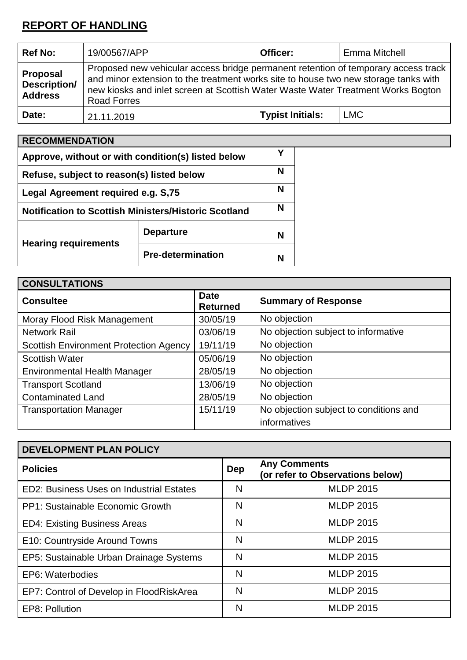# **REPORT OF HANDLING**

| <b>Ref No:</b>                                    | 19/00567/APP                                                                                                                                                                                                                                                                        | Officer:                | Emma Mitchell |
|---------------------------------------------------|-------------------------------------------------------------------------------------------------------------------------------------------------------------------------------------------------------------------------------------------------------------------------------------|-------------------------|---------------|
| Proposal<br><b>Description/</b><br><b>Address</b> | Proposed new vehicular access bridge permanent retention of temporary access track<br>and minor extension to the treatment works site to house two new storage tanks with<br>new kiosks and inlet screen at Scottish Water Waste Water Treatment Works Bogton<br><b>Road Forres</b> |                         |               |
| Date:                                             | 21.11.2019                                                                                                                                                                                                                                                                          | <b>Typist Initials:</b> | <b>LMC</b>    |

| <b>RECOMMENDATION</b>                                       |                          |   |
|-------------------------------------------------------------|--------------------------|---|
| Approve, without or with condition(s) listed below          |                          |   |
| Refuse, subject to reason(s) listed below                   |                          |   |
| Legal Agreement required e.g. S,75                          |                          |   |
| <b>Notification to Scottish Ministers/Historic Scotland</b> |                          |   |
|                                                             | <b>Departure</b>         | N |
| <b>Hearing requirements</b>                                 | <b>Pre-determination</b> |   |

| <b>CONSULTATIONS</b>                          |                                |                                        |  |  |
|-----------------------------------------------|--------------------------------|----------------------------------------|--|--|
| <b>Consultee</b>                              | <b>Date</b><br><b>Returned</b> | <b>Summary of Response</b>             |  |  |
| Moray Flood Risk Management                   | 30/05/19                       | No objection                           |  |  |
| <b>Network Rail</b>                           | 03/06/19                       | No objection subject to informative    |  |  |
| <b>Scottish Environment Protection Agency</b> | 19/11/19                       | No objection                           |  |  |
| <b>Scottish Water</b>                         | 05/06/19                       | No objection                           |  |  |
| <b>Environmental Health Manager</b>           | 28/05/19                       | No objection                           |  |  |
| <b>Transport Scotland</b>                     | 13/06/19                       | No objection                           |  |  |
| <b>Contaminated Land</b>                      | 28/05/19                       | No objection                           |  |  |
| <b>Transportation Manager</b>                 | 15/11/19                       | No objection subject to conditions and |  |  |
|                                               |                                | informatives                           |  |  |

| <b>DEVELOPMENT PLAN POLICY</b>           |            |                                                         |  |  |
|------------------------------------------|------------|---------------------------------------------------------|--|--|
| <b>Policies</b>                          | <b>Dep</b> | <b>Any Comments</b><br>(or refer to Observations below) |  |  |
| ED2: Business Uses on Industrial Estates | N          | <b>MLDP 2015</b>                                        |  |  |
| PP1: Sustainable Economic Growth         | N          | <b>MLDP 2015</b>                                        |  |  |
| <b>ED4: Existing Business Areas</b>      | N          | <b>MLDP 2015</b>                                        |  |  |
| E10: Countryside Around Towns            | N          | <b>MLDP 2015</b>                                        |  |  |
| EP5: Sustainable Urban Drainage Systems  | N          | <b>MLDP 2015</b>                                        |  |  |
| EP6: Waterbodies                         | N          | <b>MLDP 2015</b>                                        |  |  |
| EP7: Control of Develop in FloodRiskArea | N          | <b>MLDP 2015</b>                                        |  |  |
| EP8: Pollution                           | N          | <b>MLDP 2015</b>                                        |  |  |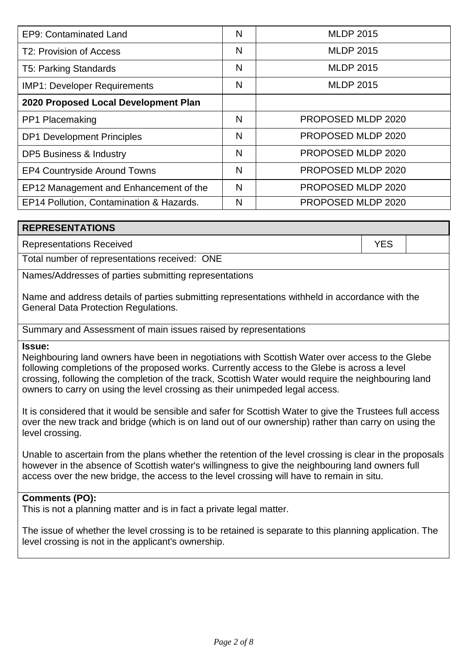| EP9: Contaminated Land                   | N | <b>MLDP 2015</b>   |
|------------------------------------------|---|--------------------|
| T2: Provision of Access                  | N | <b>MLDP 2015</b>   |
| <b>T5: Parking Standards</b>             | N | <b>MLDP 2015</b>   |
| <b>IMP1: Developer Requirements</b>      | N | <b>MLDP 2015</b>   |
| 2020 Proposed Local Development Plan     |   |                    |
| PP1 Placemaking                          | N | PROPOSED MLDP 2020 |
| <b>DP1 Development Principles</b>        | N | PROPOSED MLDP 2020 |
| <b>DP5 Business &amp; Industry</b>       | N | PROPOSED MLDP 2020 |
| <b>EP4 Countryside Around Towns</b>      | N | PROPOSED MLDP 2020 |
| EP12 Management and Enhancement of the   | N | PROPOSED MLDP 2020 |
| EP14 Pollution, Contamination & Hazards. | N | PROPOSED MLDP 2020 |

### **REPRESENTATIONS**

Representations Received **YES** 

Total number of representations received: ONE

Names/Addresses of parties submitting representations

Name and address details of parties submitting representations withheld in accordance with the General Data Protection Regulations.

Summary and Assessment of main issues raised by representations

**Issue:**

Neighbouring land owners have been in negotiations with Scottish Water over access to the Glebe following completions of the proposed works. Currently access to the Glebe is across a level crossing, following the completion of the track, Scottish Water would require the neighbouring land owners to carry on using the level crossing as their unimpeded legal access.

It is considered that it would be sensible and safer for Scottish Water to give the Trustees full access over the new track and bridge (which is on land out of our ownership) rather than carry on using the level crossing.

Unable to ascertain from the plans whether the retention of the level crossing is clear in the proposals however in the absence of Scottish water's willingness to give the neighbouring land owners full access over the new bridge, the access to the level crossing will have to remain in situ.

#### **Comments (PO):**

This is not a planning matter and is in fact a private legal matter.

The issue of whether the level crossing is to be retained is separate to this planning application. The level crossing is not in the applicant's ownership.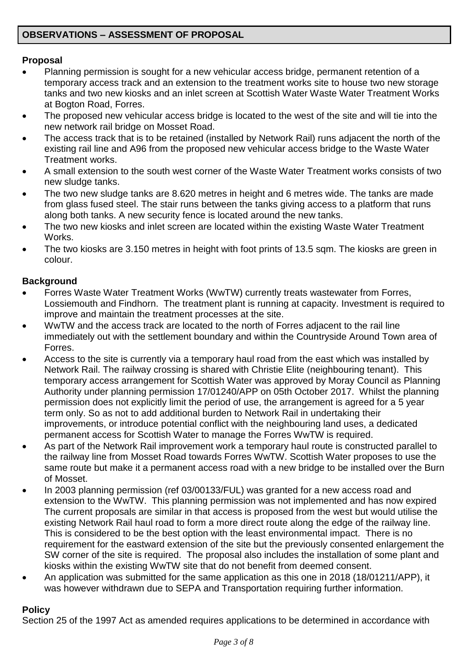# **Proposal**

- Planning permission is sought for a new vehicular access bridge, permanent retention of a temporary access track and an extension to the treatment works site to house two new storage tanks and two new kiosks and an inlet screen at Scottish Water Waste Water Treatment Works at Bogton Road, Forres.
- The proposed new vehicular access bridge is located to the west of the site and will tie into the new network rail bridge on Mosset Road.
- The access track that is to be retained (installed by Network Rail) runs adjacent the north of the existing rail line and A96 from the proposed new vehicular access bridge to the Waste Water Treatment works.
- A small extension to the south west corner of the Waste Water Treatment works consists of two new sludge tanks.
- The two new sludge tanks are 8.620 metres in height and 6 metres wide. The tanks are made from glass fused steel. The stair runs between the tanks giving access to a platform that runs along both tanks. A new security fence is located around the new tanks.
- The two new kiosks and inlet screen are located within the existing Waste Water Treatment **Works**
- The two kiosks are 3.150 metres in height with foot prints of 13.5 sqm. The kiosks are green in colour.

# **Background**

- Forres Waste Water Treatment Works (WwTW) currently treats wastewater from Forres, Lossiemouth and Findhorn. The treatment plant is running at capacity. Investment is required to improve and maintain the treatment processes at the site.
- WwTW and the access track are located to the north of Forres adjacent to the rail line immediately out with the settlement boundary and within the Countryside Around Town area of Forres.
- Access to the site is currently via a temporary haul road from the east which was installed by Network Rail. The railway crossing is shared with Christie Elite (neighbouring tenant). This temporary access arrangement for Scottish Water was approved by Moray Council as Planning Authority under planning permission 17/01240/APP on 05th October 2017. Whilst the planning permission does not explicitly limit the period of use, the arrangement is agreed for a 5 year term only. So as not to add additional burden to Network Rail in undertaking their improvements, or introduce potential conflict with the neighbouring land uses, a dedicated permanent access for Scottish Water to manage the Forres WwTW is required.
- As part of the Network Rail improvement work a temporary haul route is constructed parallel to the railway line from Mosset Road towards Forres WwTW. Scottish Water proposes to use the same route but make it a permanent access road with a new bridge to be installed over the Burn of Mosset.
- In 2003 planning permission (ref 03/00133/FUL) was granted for a new access road and extension to the WwTW. This planning permission was not implemented and has now expired The current proposals are similar in that access is proposed from the west but would utilise the existing Network Rail haul road to form a more direct route along the edge of the railway line. This is considered to be the best option with the least environmental impact. There is no requirement for the eastward extension of the site but the previously consented enlargement the SW corner of the site is required. The proposal also includes the installation of some plant and kiosks within the existing WwTW site that do not benefit from deemed consent.
- An application was submitted for the same application as this one in 2018 (18/01211/APP), it was however withdrawn due to SEPA and Transportation requiring further information.

# **Policy**

Section 25 of the 1997 Act as amended requires applications to be determined in accordance with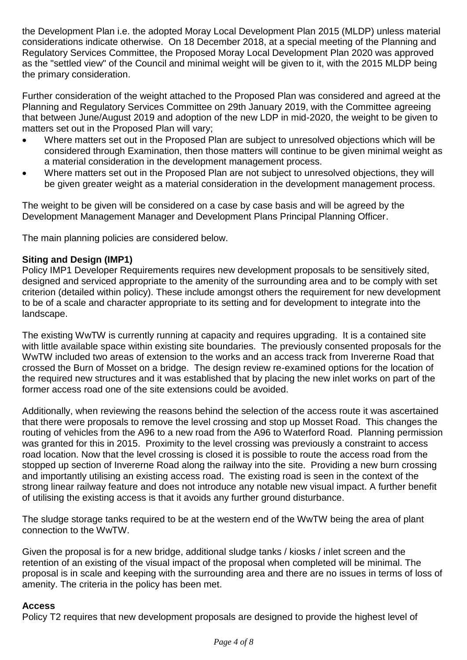the Development Plan i.e. the adopted Moray Local Development Plan 2015 (MLDP) unless material considerations indicate otherwise. On 18 December 2018, at a special meeting of the Planning and Regulatory Services Committee, the Proposed Moray Local Development Plan 2020 was approved as the "settled view" of the Council and minimal weight will be given to it, with the 2015 MLDP being the primary consideration.

Further consideration of the weight attached to the Proposed Plan was considered and agreed at the Planning and Regulatory Services Committee on 29th January 2019, with the Committee agreeing that between June/August 2019 and adoption of the new LDP in mid-2020, the weight to be given to matters set out in the Proposed Plan will vary;

- Where matters set out in the Proposed Plan are subject to unresolved objections which will be considered through Examination, then those matters will continue to be given minimal weight as a material consideration in the development management process.
- Where matters set out in the Proposed Plan are not subject to unresolved objections, they will be given greater weight as a material consideration in the development management process.

The weight to be given will be considered on a case by case basis and will be agreed by the Development Management Manager and Development Plans Principal Planning Officer.

The main planning policies are considered below.

# **Siting and Design (IMP1)**

Policy IMP1 Developer Requirements requires new development proposals to be sensitively sited, designed and serviced appropriate to the amenity of the surrounding area and to be comply with set criterion (detailed within policy). These include amongst others the requirement for new development to be of a scale and character appropriate to its setting and for development to integrate into the landscape.

The existing WwTW is currently running at capacity and requires upgrading. It is a contained site with little available space within existing site boundaries. The previously consented proposals for the WwTW included two areas of extension to the works and an access track from Invererne Road that crossed the Burn of Mosset on a bridge. The design review re-examined options for the location of the required new structures and it was established that by placing the new inlet works on part of the former access road one of the site extensions could be avoided.

Additionally, when reviewing the reasons behind the selection of the access route it was ascertained that there were proposals to remove the level crossing and stop up Mosset Road. This changes the routing of vehicles from the A96 to a new road from the A96 to Waterford Road. Planning permission was granted for this in 2015. Proximity to the level crossing was previously a constraint to access road location. Now that the level crossing is closed it is possible to route the access road from the stopped up section of Invererne Road along the railway into the site. Providing a new burn crossing and importantly utilising an existing access road. The existing road is seen in the context of the strong linear railway feature and does not introduce any notable new visual impact. A further benefit of utilising the existing access is that it avoids any further ground disturbance.

The sludge storage tanks required to be at the western end of the WwTW being the area of plant connection to the WwTW.

Given the proposal is for a new bridge, additional sludge tanks / kiosks / inlet screen and the retention of an existing of the visual impact of the proposal when completed will be minimal. The proposal is in scale and keeping with the surrounding area and there are no issues in terms of loss of amenity. The criteria in the policy has been met.

#### **Access**

Policy T2 requires that new development proposals are designed to provide the highest level of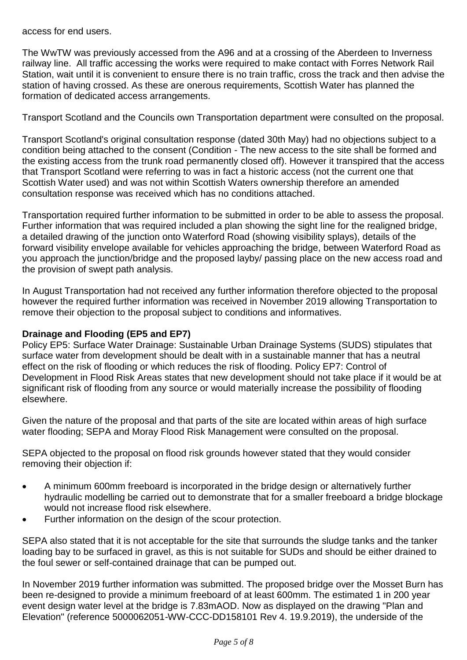access for end users.

The WwTW was previously accessed from the A96 and at a crossing of the Aberdeen to Inverness railway line. All traffic accessing the works were required to make contact with Forres Network Rail Station, wait until it is convenient to ensure there is no train traffic, cross the track and then advise the station of having crossed. As these are onerous requirements, Scottish Water has planned the formation of dedicated access arrangements.

Transport Scotland and the Councils own Transportation department were consulted on the proposal.

Transport Scotland's original consultation response (dated 30th May) had no objections subject to a condition being attached to the consent (Condition - The new access to the site shall be formed and the existing access from the trunk road permanently closed off). However it transpired that the access that Transport Scotland were referring to was in fact a historic access (not the current one that Scottish Water used) and was not within Scottish Waters ownership therefore an amended consultation response was received which has no conditions attached.

Transportation required further information to be submitted in order to be able to assess the proposal. Further information that was required included a plan showing the sight line for the realigned bridge, a detailed drawing of the junction onto Waterford Road (showing visibility splays), details of the forward visibility envelope available for vehicles approaching the bridge, between Waterford Road as you approach the junction/bridge and the proposed layby/ passing place on the new access road and the provision of swept path analysis.

In August Transportation had not received any further information therefore objected to the proposal however the required further information was received in November 2019 allowing Transportation to remove their objection to the proposal subject to conditions and informatives.

#### **Drainage and Flooding (EP5 and EP7)**

Policy EP5: Surface Water Drainage: Sustainable Urban Drainage Systems (SUDS) stipulates that surface water from development should be dealt with in a sustainable manner that has a neutral effect on the risk of flooding or which reduces the risk of flooding. Policy EP7: Control of Development in Flood Risk Areas states that new development should not take place if it would be at significant risk of flooding from any source or would materially increase the possibility of flooding elsewhere.

Given the nature of the proposal and that parts of the site are located within areas of high surface water flooding; SEPA and Moray Flood Risk Management were consulted on the proposal.

SEPA objected to the proposal on flood risk grounds however stated that they would consider removing their objection if:

- A minimum 600mm freeboard is incorporated in the bridge design or alternatively further hydraulic modelling be carried out to demonstrate that for a smaller freeboard a bridge blockage would not increase flood risk elsewhere.
- Further information on the design of the scour protection.

SEPA also stated that it is not acceptable for the site that surrounds the sludge tanks and the tanker loading bay to be surfaced in gravel, as this is not suitable for SUDs and should be either drained to the foul sewer or self-contained drainage that can be pumped out.

In November 2019 further information was submitted. The proposed bridge over the Mosset Burn has been re-designed to provide a minimum freeboard of at least 600mm. The estimated 1 in 200 year event design water level at the bridge is 7.83mAOD. Now as displayed on the drawing "Plan and Elevation" (reference 5000062051-WW-CCC-DD158101 Rev 4. 19.9.2019), the underside of the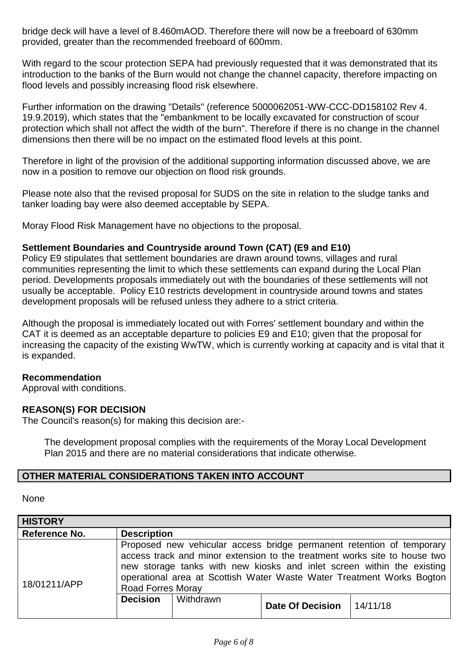bridge deck will have a level of 8.460mAOD. Therefore there will now be a freeboard of 630mm provided, greater than the recommended freeboard of 600mm.

With regard to the scour protection SEPA had previously requested that it was demonstrated that its introduction to the banks of the Burn would not change the channel capacity, therefore impacting on flood levels and possibly increasing flood risk elsewhere.

Further information on the drawing "Details" (reference 5000062051-WW-CCC-DD158102 Rev 4. 19.9.2019), which states that the "embankment to be locally excavated for construction of scour protection which shall not affect the width of the burn". Therefore if there is no change in the channel dimensions then there will be no impact on the estimated flood levels at this point.

Therefore in light of the provision of the additional supporting information discussed above, we are now in a position to remove our objection on flood risk grounds.

Please note also that the revised proposal for SUDS on the site in relation to the sludge tanks and tanker loading bay were also deemed acceptable by SEPA.

Moray Flood Risk Management have no objections to the proposal.

#### **Settlement Boundaries and Countryside around Town (CAT) (E9 and E10)**

Policy E9 stipulates that settlement boundaries are drawn around towns, villages and rural communities representing the limit to which these settlements can expand during the Local Plan period. Developments proposals immediately out with the boundaries of these settlements will not usually be acceptable. Policy E10 restricts development in countryside around towns and states development proposals will be refused unless they adhere to a strict criteria.

Although the proposal is immediately located out with Forres' settlement boundary and within the CAT it is deemed as an acceptable departure to policies E9 and E10; given that the proposal for increasing the capacity of the existing WwTW, which is currently working at capacity and is vital that it is expanded.

#### **Recommendation**

Approval with conditions.

#### **REASON(S) FOR DECISION**

The Council's reason(s) for making this decision are:-

The development proposal complies with the requirements of the Moray Local Development Plan 2015 and there are no material considerations that indicate otherwise.

#### **OTHER MATERIAL CONSIDERATIONS TAKEN INTO ACCOUNT**

#### None

| <b>HISTORY</b> |                          |           |                         |                                                                                                                                                                                                                                                                                                       |
|----------------|--------------------------|-----------|-------------------------|-------------------------------------------------------------------------------------------------------------------------------------------------------------------------------------------------------------------------------------------------------------------------------------------------------|
| Reference No.  | <b>Description</b>       |           |                         |                                                                                                                                                                                                                                                                                                       |
| 18/01211/APP   | <b>Road Forres Moray</b> |           |                         | Proposed new vehicular access bridge permanent retention of temporary<br>access track and minor extension to the treatment works site to house two<br>new storage tanks with new kiosks and inlet screen within the existing<br>operational area at Scottish Water Waste Water Treatment Works Bogton |
|                | <b>Decision</b>          | Withdrawn | <b>Date Of Decision</b> | 14/11/18                                                                                                                                                                                                                                                                                              |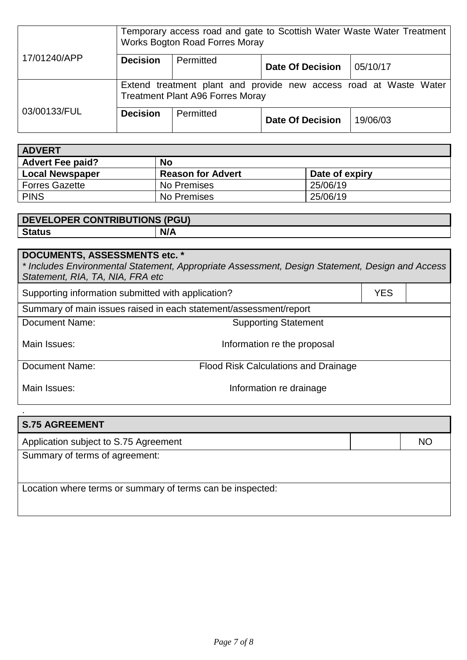|              | Temporary access road and gate to Scottish Water Waste Water Treatment<br><b>Works Bogton Road Forres Moray</b> |           |                         |          |
|--------------|-----------------------------------------------------------------------------------------------------------------|-----------|-------------------------|----------|
| 17/01240/APP | <b>Decision</b>                                                                                                 | Permitted | <b>Date Of Decision</b> | 05/10/17 |
|              | Extend treatment plant and provide new access road at Waste Water<br><b>Treatment Plant A96 Forres Moray</b>    |           |                         |          |
| 03/00133/FUL | <b>Decision</b>                                                                                                 | Permitted | <b>Date Of Decision</b> | 19/06/03 |

| <b>ADVERT</b>                 |                          |                |  |  |
|-------------------------------|--------------------------|----------------|--|--|
| No<br><b>Advert Fee paid?</b> |                          |                |  |  |
| <b>Local Newspaper</b>        | <b>Reason for Advert</b> | Date of expiry |  |  |
| <b>Forres Gazette</b>         | No Premises              | 25/06/19       |  |  |
| <b>PINS</b>                   | No Premises              | 25/06/19       |  |  |

| <b>DEVELOPER CONTRIBUTIONS (PGU)</b> |     |
|--------------------------------------|-----|
| <b>Status</b>                        | N/A |

# **DOCUMENTS, ASSESSMENTS etc. \*** *\* Includes Environmental Statement, Appropriate Assessment, Design Statement, Design and Access Statement, RIA, TA, NIA, FRA etc* Supporting information submitted with application? <br>
YES Summary of main issues raised in each statement/assessment/report Document Name: Supporting Statement Main Issues: Main Issues: Main Issues: Information re the proposal Document Name: Flood Risk Calculations and Drainage Main Issues: Main Issues: Main Issues: All and Main Issues: All and Main Issues: Main Issues: Main Issues: Main Issues:  $\blacksquare$

| <b>S.75 AGREEMENT</b>                                      |           |
|------------------------------------------------------------|-----------|
| Application subject to S.75 Agreement                      | <b>NO</b> |
| Summary of terms of agreement:                             |           |
|                                                            |           |
| Location where terms or summary of terms can be inspected: |           |
|                                                            |           |